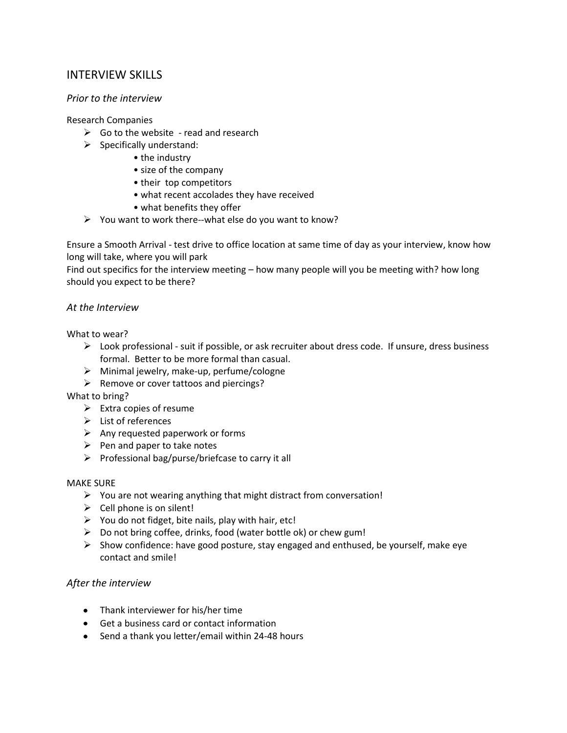# INTERVIEW SKILLS

# *Prior to the interview*

# Research Companies

- $\triangleright$  Go to the website read and research
- $\triangleright$  Specifically understand:
	- the industry
	- size of the company
	- their top competitors
	- what recent accolades they have received
	- what benefits they offer
- $\triangleright$  You want to work there--what else do you want to know?

Ensure a Smooth Arrival - test drive to office location at same time of day as your interview, know how long will take, where you will park

Find out specifics for the interview meeting – how many people will you be meeting with? how long should you expect to be there?

# *At the Interview*

What to wear?

- $\triangleright$  Look professional suit if possible, or ask recruiter about dress code. If unsure, dress business formal. Better to be more formal than casual.
- $\triangleright$  Minimal jewelry, make-up, perfume/cologne
- $\triangleright$  Remove or cover tattoos and piercings?

# What to bring?

- $\triangleright$  Extra copies of resume
- $\triangleright$  List of references
- $\triangleright$  Any requested paperwork or forms
- $\triangleright$  Pen and paper to take notes
- $\triangleright$  Professional bag/purse/briefcase to carry it all

# MAKE SURE

- $\triangleright$  You are not wearing anything that might distract from conversation!
- $\triangleright$  Cell phone is on silent!
- $\triangleright$  You do not fidget, bite nails, play with hair, etc!
- $\triangleright$  Do not bring coffee, drinks, food (water bottle ok) or chew gum!
- $\triangleright$  Show confidence: have good posture, stay engaged and enthused, be yourself, make eye contact and smile!

# *After the interview*

- Thank interviewer for his/her time
- Get a business card or contact information
- Send a thank you letter/email within 24-48 hours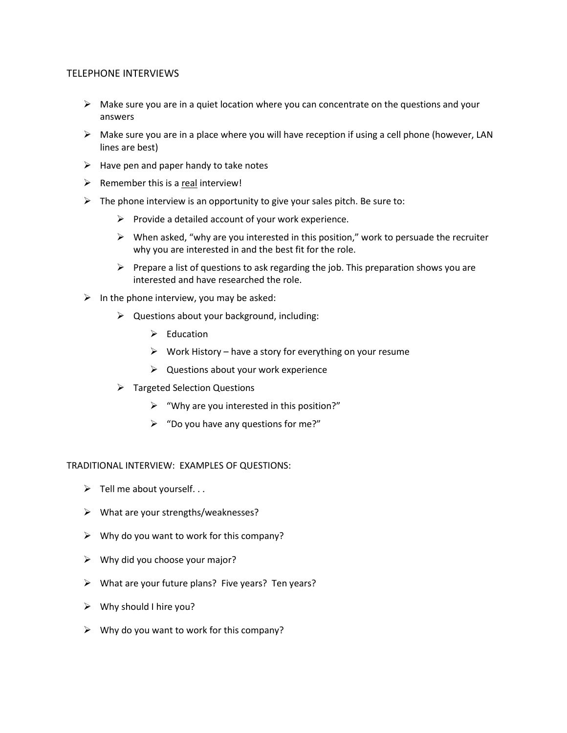# TELEPHONE INTERVIEWS

- $\triangleright$  Make sure you are in a quiet location where you can concentrate on the questions and your answers
- $\triangleright$  Make sure you are in a place where you will have reception if using a cell phone (however, LAN lines are best)
- $\triangleright$  Have pen and paper handy to take notes
- $\triangleright$  Remember this is a real interview!
- $\triangleright$  The phone interview is an opportunity to give your sales pitch. Be sure to:
	- $\triangleright$  Provide a detailed account of your work experience.
	- $\triangleright$  When asked, "why are you interested in this position," work to persuade the recruiter why you are interested in and the best fit for the role.
	- $\triangleright$  Prepare a list of questions to ask regarding the job. This preparation shows you are interested and have researched the role.
- $\triangleright$  In the phone interview, you may be asked:
	- $\triangleright$  Questions about your background, including:
		- $\triangleright$  Education
		- $\triangleright$  Work History have a story for everything on your resume
		- $\triangleright$  Questions about your work experience
	- $\triangleright$  Targeted Selection Questions
		- $\triangleright$  "Why are you interested in this position?"
		- $\triangleright$  "Do you have any questions for me?"

TRADITIONAL INTERVIEW: EXAMPLES OF QUESTIONS:

- $\triangleright$  Tell me about yourself...
- $\triangleright$  What are your strengths/weaknesses?
- $\triangleright$  Why do you want to work for this company?
- $\triangleright$  Why did you choose your major?
- $\triangleright$  What are your future plans? Five years? Ten years?
- $\triangleright$  Why should I hire you?
- $\triangleright$  Why do you want to work for this company?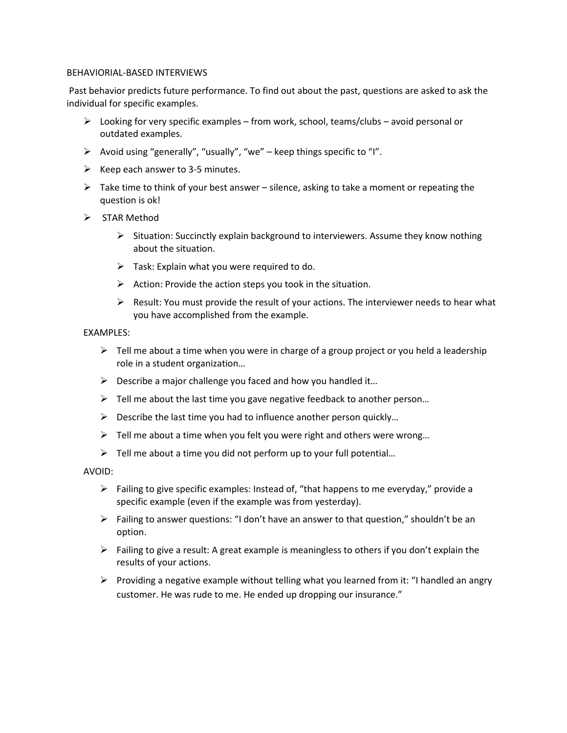#### BEHAVIORIAL-BASED INTERVIEWS

Past behavior predicts future performance. To find out about the past, questions are asked to ask the individual for specific examples.

- $\triangleright$  Looking for very specific examples from work, school, teams/clubs avoid personal or outdated examples.
- $\triangleright$  Avoid using "generally", "usually", "we" keep things specific to "I".
- $\triangleright$  Keep each answer to 3-5 minutes.
- $\triangleright$  Take time to think of your best answer silence, asking to take a moment or repeating the question is ok!
- $\triangleright$  STAR Method
	- $\triangleright$  Situation: Succinctly explain background to interviewers. Assume they know nothing about the situation.
	- $\triangleright$  Task: Explain what you were required to do.
	- $\triangleright$  Action: Provide the action steps you took in the situation.
	- $\triangleright$  Result: You must provide the result of your actions. The interviewer needs to hear what you have accomplished from the example.

#### EXAMPLES:

- $\triangleright$  Tell me about a time when you were in charge of a group project or you held a leadership role in a student organization…
- $\triangleright$  Describe a major challenge you faced and how you handled it...
- $\triangleright$  Tell me about the last time you gave negative feedback to another person...
- $\triangleright$  Describe the last time you had to influence another person quickly...
- $\triangleright$  Tell me about a time when you felt you were right and others were wrong...
- $\triangleright$  Tell me about a time you did not perform up to your full potential...

AVOID:

- $\triangleright$  Failing to give specific examples: Instead of, "that happens to me everyday," provide a specific example (even if the example was from yesterday).
- $\triangleright$  Failing to answer questions: "I don't have an answer to that question," shouldn't be an option.
- $\triangleright$  Failing to give a result: A great example is meaningless to others if you don't explain the results of your actions.
- Providing a negative example without telling what you learned from it: "I handled an angry customer. He was rude to me. He ended up dropping our insurance."